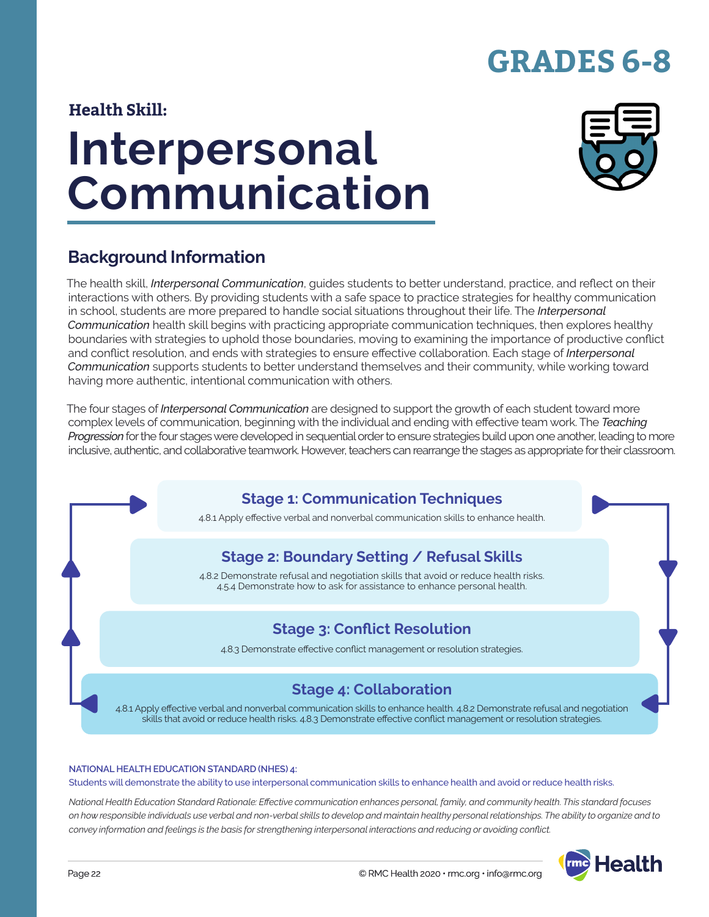# **GRADES 6-8**

### **Health Skill:**

# **Interpersonal Communication**



### **Background Information**

The health skill, *Interpersonal Communication*, guides students to better understand, practice, and reflect on their interactions with others. By providing students with a safe space to practice strategies for healthy communication in school, students are more prepared to handle social situations throughout their life. The *Interpersonal Communication* health skill begins with practicing appropriate communication techniques, then explores healthy boundaries with strategies to uphold those boundaries, moving to examining the importance of productive conflict and conflict resolution, and ends with strategies to ensure effective collaboration. Each stage of *Interpersonal Communication* supports students to better understand themselves and their community, while working toward having more authentic, intentional communication with others.

The four stages of *Interpersonal Communication* are designed to support the growth of each student toward more complex levels of communication, beginning with the individual and ending with effective team work. The *Teaching Progression* for the four stages were developed in sequential order to ensure strategies build upon one another, leading to more inclusive, authentic, and collaborative teamwork. However, teachers can rearrange the stages as appropriate for their classroom.

### **Stage 1: Communication Techniques**

4.8.1 Apply effective verbal and nonverbal communication skills to enhance health.

### **Stage 2: Boundary Setting / Refusal Skills**

4.8.2 Demonstrate refusal and negotiation skills that avoid or reduce health risks. 4.5.4 Demonstrate how to ask for assistance to enhance personal health.

### **Stage 3: Conflict Resolution**

4.8.3 Demonstrate effective conflict management or resolution strategies.

### **Stage 4: Collaboration**

4.8.1 Apply effective verbal and nonverbal communication skills to enhance health. 4.8.2 Demonstrate refusal and negotiation skills that avoid or reduce health risks. 4.8.3 Demonstrate effective conflict management or resolution strategies.

#### **NATIONAL HEALTH EDUCATION STANDARD (NHES) 4:**

Students will demonstrate the ability to use interpersonal communication skills to enhance health and avoid or reduce health risks.

*National Health Education Standard Rationale: Effective communication enhances personal, family, and community health. This standard focuses on how responsible individuals use verbal and non-verbal skills to develop and maintain healthy personal relationships. The ability to organize and to convey information and feelings is the basis for strengthening interpersonal interactions and reducing or avoiding conflict.*

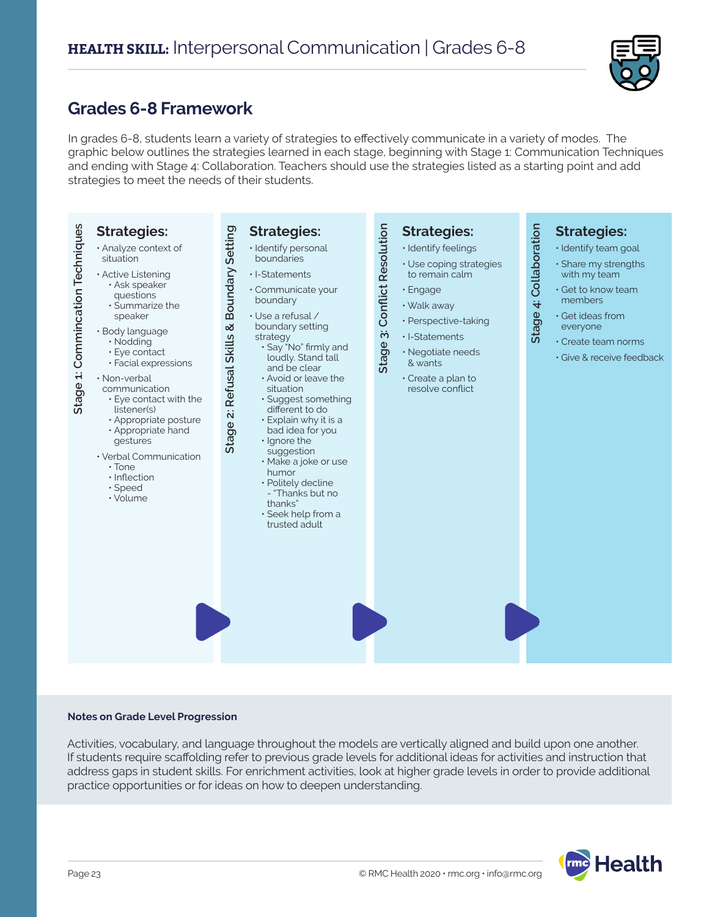

### **Grades 6-8 Framework**

In grades 6-8, students learn a variety of strategies to effectively communicate in a variety of modes. The graphic below outlines the strategies learned in each stage, beginning with Stage 1: Communication Techniques and ending with Stage 4: Collaboration. Teachers should use the strategies listed as a starting point and add strategies to meet the needs of their students.



#### **Notes on Grade Level Progression**

Activities, vocabulary, and language throughout the models are vertically aligned and build upon one another. If students require scaffolding refer to previous grade levels for additional ideas for activities and instruction that address gaps in student skills. For enrichment activities, look at higher grade levels in order to provide additional practice opportunities or for ideas on how to deepen understanding.

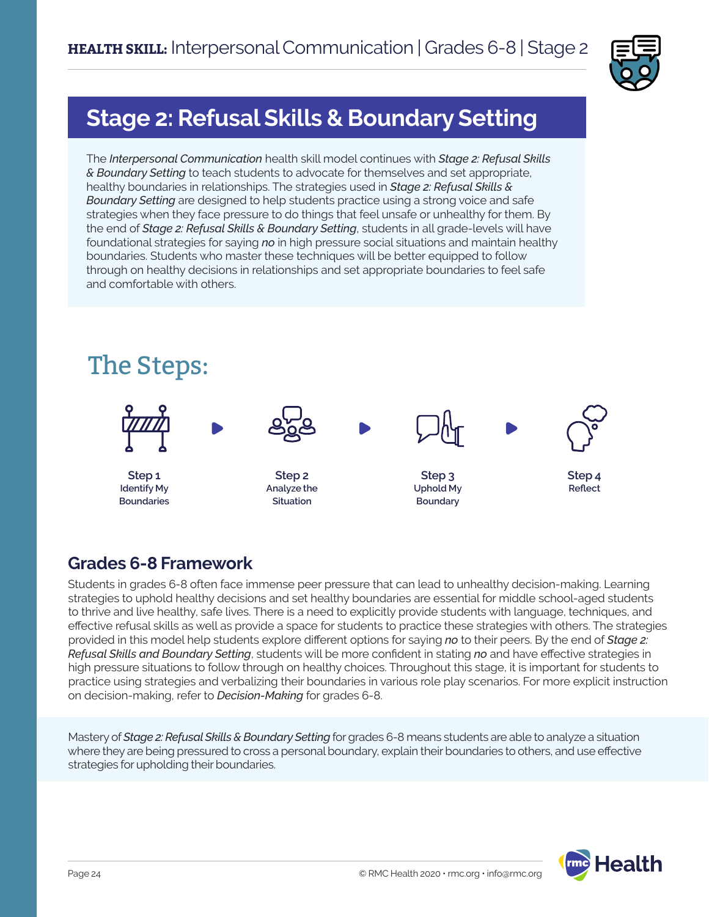

# **Stage 2: Refusal Skills & Boundary Setting**

The *Interpersonal Communication* health skill model continues with *Stage 2: Refusal Skills & Boundary Setting* to teach students to advocate for themselves and set appropriate, healthy boundaries in relationships. The strategies used in *Stage 2: Refusal Skills & Boundary Setting* are designed to help students practice using a strong voice and safe strategies when they face pressure to do things that feel unsafe or unhealthy for them. By the end of *Stage 2: Refusal Skills & Boundary Setting*, students in all grade-levels will have foundational strategies for saying *no* in high pressure social situations and maintain healthy boundaries. Students who master these techniques will be better equipped to follow through on healthy decisions in relationships and set appropriate boundaries to feel safe and comfortable with others.



### **Grades 6-8 Framework**

Students in grades 6-8 often face immense peer pressure that can lead to unhealthy decision-making. Learning strategies to uphold healthy decisions and set healthy boundaries are essential for middle school-aged students to thrive and live healthy, safe lives. There is a need to explicitly provide students with language, techniques, and effective refusal skills as well as provide a space for students to practice these strategies with others. The strategies provided in this model help students explore different options for saying *no* to their peers. By the end of *Stage 2: Refusal Skills and Boundary Setting*, students will be more confident in stating *no* and have effective strategies in high pressure situations to follow through on healthy choices. Throughout this stage, it is important for students to practice using strategies and verbalizing their boundaries in various role play scenarios. For more explicit instruction on decision-making, refer to *Decision-Making* for grades 6-8.

Mastery of *Stage 2: Refusal Skills & Boundary Setting* for grades 6-8 means students are able to analyze a situation where they are being pressured to cross a personal boundary, explain their boundaries to others, and use effective strategies for upholding their boundaries.

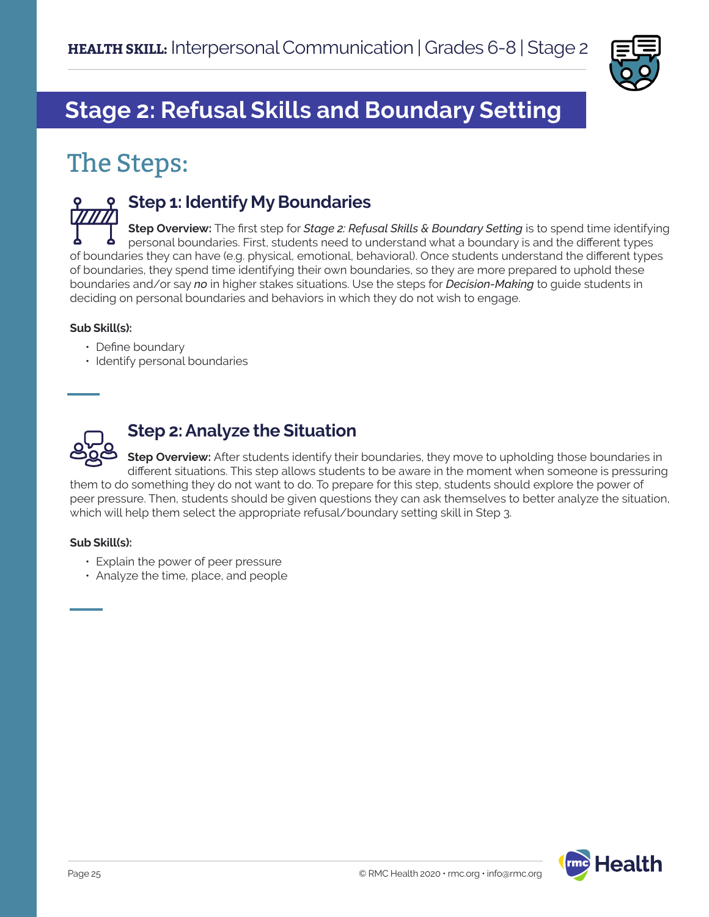

# **Stage 2: Refusal Skills and Boundary Setting**

# The Steps:



### **Step 1: Identify My Boundaries**

**Step Overview:** The first step for *Stage 2: Refusal Skills & Boundary Setting* is to spend time identifying personal boundaries. First, students need to understand what a boundary is and the different types of boundaries they can have (e.g. physical, emotional, behavioral). Once students understand the different types of boundaries, they spend time identifying their own boundaries, so they are more prepared to uphold these boundaries and/or say *no* in higher stakes situations. Use the steps for *Decision-Making* to guide students in deciding on personal boundaries and behaviors in which they do not wish to engage.

### **Sub Skill(s):**

- Define boundary
- Identify personal boundaries



### **Step 2: Analyze the Situation**

**Step Overview:** After students identify their boundaries, they move to upholding those boundaries in different situations. This step allows students to be aware in the moment when someone is pressuring them to do something they do not want to do. To prepare for this step, students should explore the power of peer pressure. Then, students should be given questions they can ask themselves to better analyze the situation, which will help them select the appropriate refusal/boundary setting skill in Step 3.

#### **Sub Skill(s):**

- Explain the power of peer pressure
- Analyze the time, place, and people

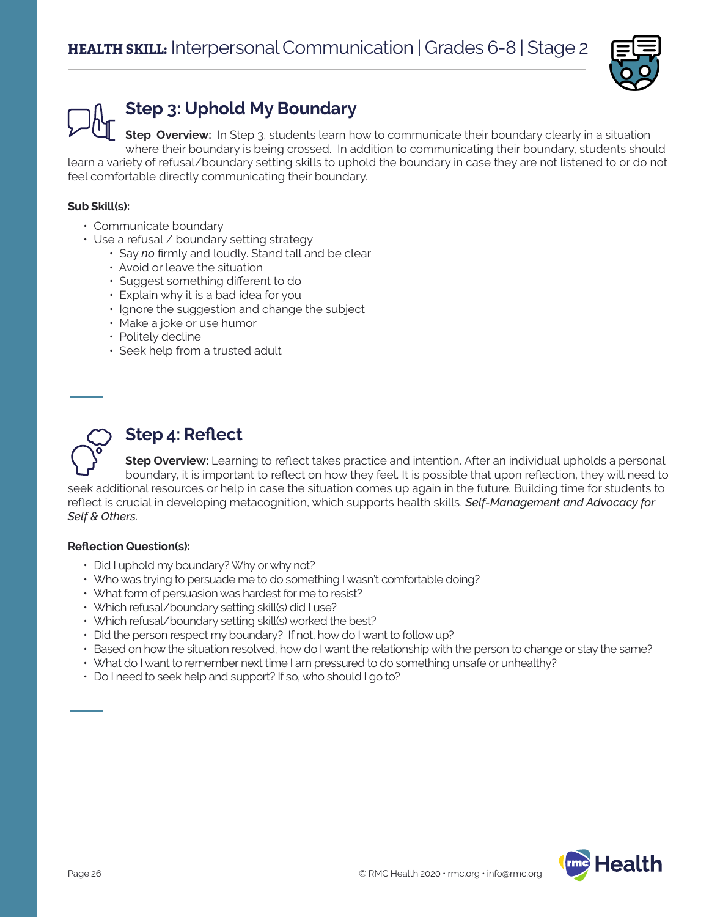

# **Step 3: Uphold My Boundary**

**Step Overview:** In Step 3, students learn how to communicate their boundary clearly in a situation where their boundary is being crossed. In addition to communicating their boundary, students should learn a variety of refusal/boundary setting skills to uphold the boundary in case they are not listened to or do not feel comfortable directly communicating their boundary.

### **Sub Skill(s):**

- Communicate boundary
- Use a refusal / boundary setting strategy
	- Say *no* firmly and loudly. Stand tall and be clear
	- Avoid or leave the situation
	- Suggest something different to do
	- Explain why it is a bad idea for you
	- Ignore the suggestion and change the subject
	- Make a joke or use humor
	- Politely decline
	- Seek help from a trusted adult



## **Step 4: Reflect**

**Step Overview:** Learning to reflect takes practice and intention. After an individual upholds a personal boundary, it is important to reflect on how they feel. It is possible that upon reflection, they will need to seek additional resources or help in case the situation comes up again in the future. Building time for students to reflect is crucial in developing metacognition, which supports health skills, *Self-Management and Advocacy for Self & Others.*

#### **Reflection Question(s):**

- Did I uphold my boundary? Why or why not?
- Who was trying to persuade me to do something I wasn't comfortable doing?
- What form of persuasion was hardest for me to resist?
- Which refusal/boundary setting skill(s) did I use?
- Which refusal/boundary setting skill(s) worked the best?
- Did the person respect my boundary? If not, how do I want to follow up?
- Based on how the situation resolved, how do I want the relationship with the person to change or stay the same?
- What do I want to remember next time I am pressured to do something unsafe or unhealthy?
- Do I need to seek help and support? If so, who should I go to?